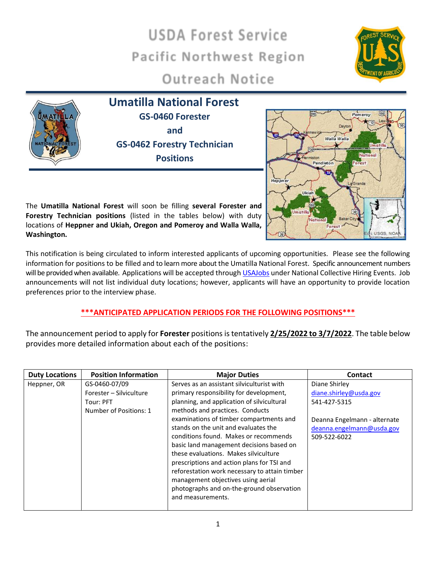# **USDA Forest Service**

# Pacific Northwest Region



Outreach Notice



**Umatilla National Forest GS-0460 Forester and GS-0462 Forestry Technician Positions**



The **Umatilla National Forest** will soon be filling **several Forester and Forestry Technician positions** (listed in the tables below) with duty locations of **Heppner and Ukiah, Oregon and Pomeroy and Walla Walla, Washington.** 

This notification is being circulated to inform interested applicants of upcoming opportunities. Please see the following information for positions to be filled and to learn more about the Umatilla National Forest. Specific announcement numbers will be provided when available. Applications will be accepted throug[h USAJobs](https://www.usajobs.gov/) under National Collective Hiring Events. Job announcements will not list individual duty locations; however, applicants will have an opportunity to provide location preferences prior to the interview phase.

#### **\*\*\*ANTICIPATED APPLICATION PERIODS FOR THE FOLLOWING POSITIONS\*\*\***

The announcement period to apply for **Forester** positions istentatively **2/25/2022 to 3/7/2022**. The table below provides more detailed information about each of the positions:

| <b>Duty Locations</b> | <b>Position Information</b> | <b>Major Duties</b>                           | <b>Contact</b>               |
|-----------------------|-----------------------------|-----------------------------------------------|------------------------------|
| Heppner, OR           | GS-0460-07/09               | Serves as an assistant silviculturist with    | Diane Shirley                |
|                       | Forester - Silviculture     | primary responsibility for development,       | diane.shirley@usda.gov       |
|                       | Tour: PFT                   | planning, and application of silvicultural    | 541-427-5315                 |
|                       | Number of Positions: 1      | methods and practices. Conducts               |                              |
|                       |                             | examinations of timber compartments and       | Deanna Engelmann - alternate |
|                       |                             | stands on the unit and evaluates the          | deanna.engelmann@usda.gov    |
|                       |                             | conditions found. Makes or recommends         | 509-522-6022                 |
|                       |                             | basic land management decisions based on      |                              |
|                       |                             | these evaluations. Makes silviculture         |                              |
|                       |                             | prescriptions and action plans for TSI and    |                              |
|                       |                             | reforestation work necessary to attain timber |                              |
|                       |                             | management objectives using aerial            |                              |
|                       |                             | photographs and on-the-ground observation     |                              |
|                       |                             | and measurements.                             |                              |
|                       |                             |                                               |                              |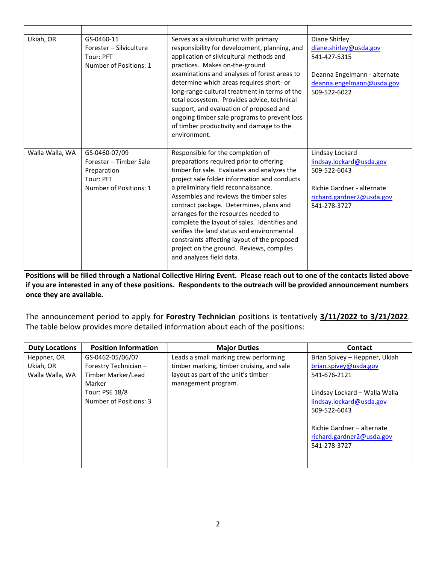| Ukiah, OR       | GS-0460-11<br>Forester - Silviculture<br>Tour: PFT<br>Number of Positions: 1                  | Serves as a silviculturist with primary<br>responsibility for development, planning, and<br>application of silvicultural methods and<br>practices. Makes on-the-ground<br>examinations and analyses of forest areas to<br>determine which areas requires short- or<br>long-range cultural treatment in terms of the<br>total ecosystem. Provides advice, technical<br>support, and evaluation of proposed and<br>ongoing timber sale programs to prevent loss<br>of timber productivity and damage to the<br>environment.                                             | Diane Shirley<br>diane.shirley@usda.gov<br>541-427-5315<br>Deanna Engelmann - alternate<br>deanna.engelmann@usda.gov<br>509-522-6022   |
|-----------------|-----------------------------------------------------------------------------------------------|-----------------------------------------------------------------------------------------------------------------------------------------------------------------------------------------------------------------------------------------------------------------------------------------------------------------------------------------------------------------------------------------------------------------------------------------------------------------------------------------------------------------------------------------------------------------------|----------------------------------------------------------------------------------------------------------------------------------------|
| Walla Walla, WA | GS-0460-07/09<br>Forester - Timber Sale<br>Preparation<br>Tour: PFT<br>Number of Positions: 1 | Responsible for the completion of<br>preparations required prior to offering<br>timber for sale. Evaluates and analyzes the<br>project sale folder information and conducts<br>a preliminary field reconnaissance.<br>Assembles and reviews the timber sales<br>contract package. Determines, plans and<br>arranges for the resources needed to<br>complete the layout of sales. Identifies and<br>verifies the land status and environmental<br>constraints affecting layout of the proposed<br>project on the ground. Reviews, compiles<br>and analyzes field data. | Lindsay Lockard<br>lindsay.lockard@usda.gov<br>509-522-6043<br>Richie Gardner - alternate<br>richard.gardner2@usda.gov<br>541-278-3727 |

**Positions will be filled through a National Collective Hiring Event. Please reach out to one of the contacts listed above if you are interested in any of these positions. Respondents to the outreach will be provided announcement numbers once they are available.**

The announcement period to apply for **Forestry Technician** positions is tentatively **3/11/2022 to 3/21/2022**. The table below provides more detailed information about each of the positions:

| <b>Duty Locations</b> | <b>Position Information</b> | <b>Major Duties</b>                       | Contact                       |
|-----------------------|-----------------------------|-------------------------------------------|-------------------------------|
| Heppner, OR           | GS-0462-05/06/07            | Leads a small marking crew performing     | Brian Spivey - Heppner, Ukiah |
| Ukiah, OR             | Forestry Technician -       | timber marking, timber cruising, and sale | brian.spivey@usda.gov         |
| Walla Walla, WA       | Timber Marker/Lead          | layout as part of the unit's timber       | 541-676-2121                  |
|                       | Marker                      | management program.                       |                               |
|                       | Tour: PSE 18/8              |                                           | Lindsay Lockard - Walla Walla |
|                       | Number of Positions: 3      |                                           | lindsay.lockard@usda.gov      |
|                       |                             |                                           | 509-522-6043                  |
|                       |                             |                                           |                               |
|                       |                             |                                           | Richie Gardner - alternate    |
|                       |                             |                                           | richard.gardner2@usda.gov     |
|                       |                             |                                           | 541-278-3727                  |
|                       |                             |                                           |                               |
|                       |                             |                                           |                               |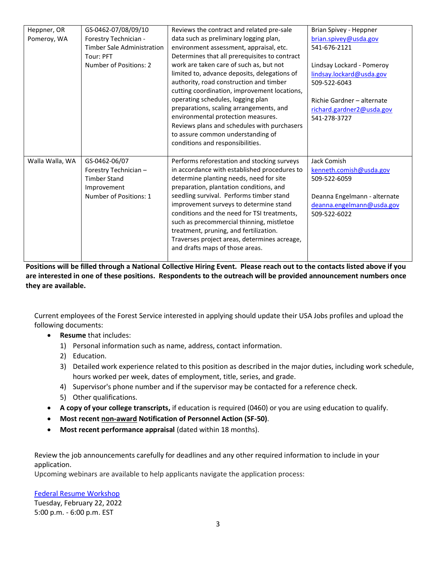| Heppner, OR     | GS-0462-07/08/09/10        | Reviews the contract and related pre-sale     | Brian Spivey - Heppner       |
|-----------------|----------------------------|-----------------------------------------------|------------------------------|
| Pomeroy, WA     | Forestry Technician -      | data such as preliminary logging plan,        | brian.spivey@usda.gov        |
|                 | Timber Sale Administration | environment assessment, appraisal, etc.       | 541-676-2121                 |
|                 | Tour: PFT                  | Determines that all prerequisites to contract |                              |
|                 | Number of Positions: 2     | work are taken care of such as, but not       | Lindsay Lockard - Pomeroy    |
|                 |                            | limited to, advance deposits, delegations of  | lindsay.lockard@usda.gov     |
|                 |                            | authority, road construction and timber       | 509-522-6043                 |
|                 |                            | cutting coordination, improvement locations,  |                              |
|                 |                            | operating schedules, logging plan             | Richie Gardner - alternate   |
|                 |                            | preparations, scaling arrangements, and       | richard.gardner2@usda.gov    |
|                 |                            | environmental protection measures.            | 541-278-3727                 |
|                 |                            | Reviews plans and schedules with purchasers   |                              |
|                 |                            | to assure common understanding of             |                              |
|                 |                            | conditions and responsibilities.              |                              |
|                 |                            |                                               |                              |
| Walla Walla, WA | GS-0462-06/07              | Performs reforestation and stocking surveys   | Jack Comish                  |
|                 | Forestry Technician -      | in accordance with established procedures to  | kenneth.comish@usda.gov      |
|                 | <b>Timber Stand</b>        | determine planting needs, need for site       | 509-522-6059                 |
|                 | Improvement                | preparation, plantation conditions, and       |                              |
|                 | Number of Positions: 1     | seedling survival. Performs timber stand      | Deanna Engelmann - alternate |
|                 |                            | improvement surveys to determine stand        | deanna.engelmann@usda.gov    |
|                 |                            | conditions and the need for TSI treatments,   | 509-522-6022                 |
|                 |                            | such as precommercial thinning, mistletoe     |                              |
|                 |                            |                                               |                              |
|                 |                            | treatment, pruning, and fertilization.        |                              |
|                 |                            | Traverses project areas, determines acreage,  |                              |
|                 |                            | and drafts maps of those areas.               |                              |
|                 |                            |                                               |                              |

**Positions will be filled through a National Collective Hiring Event. Please reach out to the contacts listed above if you are interested in one of these positions. Respondents to the outreach will be provided announcement numbers once they are available.**

Current employees of the Forest Service interested in applying should update their USA Jobs profiles and upload the following documents:

- **Resume** that includes:
	- 1) Personal information such as name, address, contact information.
	- 2) Education.
	- 3) Detailed work experience related to this position as described in the major duties, including work schedule, hours worked per week, dates of employment, title, series, and grade.
	- 4) Supervisor's phone number and if the supervisor may be contacted for a reference check.
	- 5) Other qualifications.
- **A copy of your college transcripts,** if education is required (0460) or you are using education to qualify.
- **Most recent non-award Notification of Personnel Action (SF-50)**.
- **Most recent performance appraisal** (dated within 18 months).

Review the job announcements carefully for deadlines and any other required information to include in your application.

Upcoming webinars are available to help applicants navigate the application process:

#### [Federal Resume Workshop](https://teams.microsoft.com/dl/launcher/launcher.html?url=%2F_%23%2Fl%2Fmeetup-join%2F19%3Ameeting_Y2I4NzE0YzAtMTYxNC00NjQwLWEyNzMtNjc5NjllZDRhNDk3%40thread.v2%2F0%3Fcontext%3D%257b%2522Tid%2522%253a%2522ed5b36e7-01ee-4ebc-867e-e03cfa0d4697%2522%252c%2522Oid%2522%253a%2522ab379ab3-a12c-4a27-b752-b24e61082457%2522%252c%2522IsBroadcastMeeting%2522%253atrue%257d%26btype%3Da%26role%3Da%26anon%3Dtrue&type=meetup-join&deeplinkId=a5441009-4334-4457-909c-7235ae4cf60e&directDl=true&msLaunch=true&enableMobilePage=false&suppressPrompt=true)

Tuesday, February 22, 2022 5:00 p.m. - 6:00 p.m. EST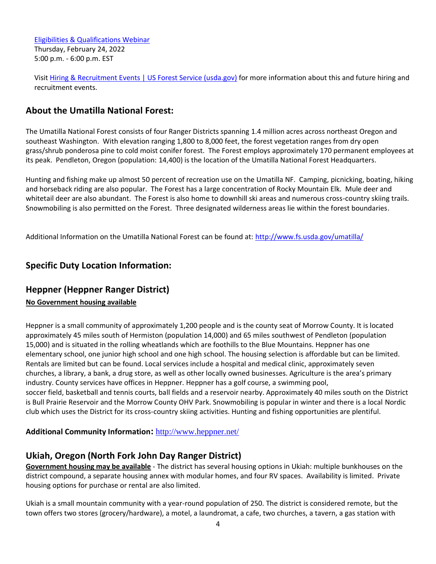[Eligibilities & Qualifications Webinar](https://teams.microsoft.com/dl/launcher/launcher.html?url=%2F_%23%2Fl%2Fmeetup-join%2F19%3Ameeting_ODM1MTNkZGQtNTJlMC00YWQzLTgwYWMtYWZhOGFkY2RmNTdl%40thread.v2%2F0%3Fcontext%3D%257b%2522Tid%2522%253a%2522ed5b36e7-01ee-4ebc-867e-e03cfa0d4697%2522%252c%2522Oid%2522%253a%2522ab379ab3-a12c-4a27-b752-b24e61082457%2522%252c%2522IsBroadcastMeeting%2522%253atrue%257d%26btype%3Da%26role%3Da%26anon%3Dtrue&type=meetup-join&deeplinkId=b0e4a2de-553b-47b9-837b-14fda63616e8&directDl=true&msLaunch=true&enableMobilePage=false&suppressPrompt=true) Thursday, February 24, 2022 5:00 p.m. - 6:00 p.m. EST

Visit [Hiring & Recruitment Events | US Forest Service \(usda.gov\)](https://www.fs.usda.gov/working-with-us/jobs/events) for more information about this and future hiring and recruitment events.

## **About the Umatilla National Forest:**

The Umatilla National Forest consists of four Ranger Districts spanning 1.4 million acres across northeast Oregon and southeast Washington. With elevation ranging 1,800 to 8,000 feet, the forest vegetation ranges from dry open grass/shrub ponderosa pine to cold moist conifer forest. The Forest employs approximately 170 permanent employees at its peak. Pendleton, Oregon (population: 14,400) is the location of the Umatilla National Forest Headquarters.

Hunting and fishing make up almost 50 percent of recreation use on the Umatilla NF. Camping, picnicking, boating, hiking and horseback riding are also popular. The Forest has a large concentration of Rocky Mountain Elk. Mule deer and whitetail deer are also abundant. The Forest is also home to downhill ski areas and numerous cross-country skiing trails. Snowmobiling is also permitted on the Forest. Three designated wilderness areas lie within the forest boundaries.

Additional Information on the Umatilla National Forest can be found at:<http://www.fs.usda.gov/umatilla/>

# **Specific Duty Location Information:**

### **Heppner (Heppner Ranger District)**

#### **No Government housing available**

Heppner is a small community of approximately 1,200 people and is the county seat of Morrow County. It is located approximately 45 miles south of Hermiston (population 14,000) and 65 miles southwest of Pendleton (population 15,000) and is situated in the rolling wheatlands which are foothills to the Blue Mountains. Heppner has one elementary school, one junior high school and one high school. The housing selection is affordable but can be limited. Rentals are limited but can be found. Local services include a hospital and medical clinic, approximately seven churches, a library, a bank, a drug store, as well as other locally owned businesses. Agriculture is the area's primary industry. County services have offices in Heppner. Heppner has a golf course, a swimming pool, soccer field, basketball and tennis courts, ball fields and a reservoir nearby. Approximately 40 miles south on the District is Bull Prairie Reservoir and the Morrow County OHV Park. Snowmobiling is popular in winter and there is a local Nordic club which uses the District for its cross-country skiing activities. Hunting and fishing opportunities are plentiful.

#### **Additional Community Information:** <http://www.heppner.net/>

### **Ukiah, Oregon (North Fork John Day Ranger District)**

**Government housing may be available** - The district has several housing options in Ukiah: multiple bunkhouses on the district compound, a separate housing annex with modular homes, and four RV spaces. Availability is limited. Private housing options for purchase or rental are also limited.

Ukiah is a small mountain community with a year-round population of 250. The district is considered remote, but the town offers two stores (grocery/hardware), a motel, a laundromat, a cafe, two churches, a tavern, a gas station with